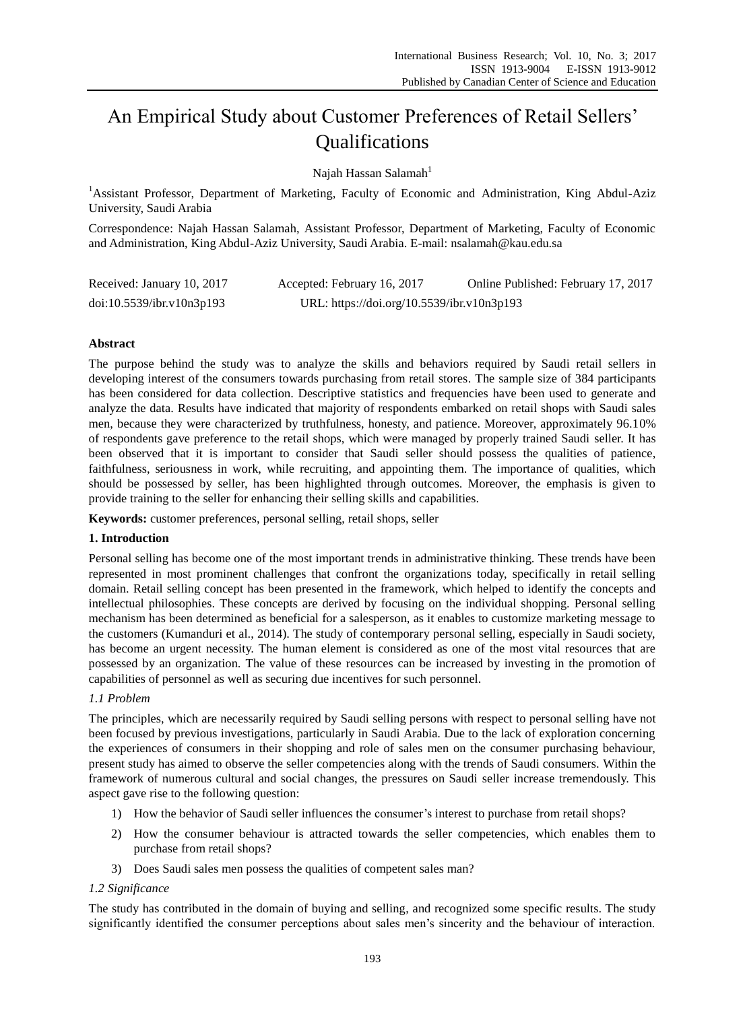# An Empirical Study about Customer Preferences of Retail Sellers' Qualifications

Najah Hassan Salamah<sup>1</sup>

<sup>1</sup>Assistant Professor, Department of Marketing, Faculty of Economic and Administration, King Abdul-Aziz University, Saudi Arabia

Correspondence: Najah Hassan Salamah, Assistant Professor, Department of Marketing, Faculty of Economic and Administration, King Abdul-Aziz University, Saudi Arabia. E-mail: nsalamah@kau.edu.sa

| Received: January 10, 2017 | Accepted: February 16, 2017                | Online Published: February 17, 2017 |
|----------------------------|--------------------------------------------|-------------------------------------|
| doi:10.5539/ibr.v10n3p193  | URL: https://doi.org/10.5539/ibr.v10n3p193 |                                     |

## **Abstract**

The purpose behind the study was to analyze the skills and behaviors required by Saudi retail sellers in developing interest of the consumers towards purchasing from retail stores. The sample size of 384 participants has been considered for data collection. Descriptive statistics and frequencies have been used to generate and analyze the data. Results have indicated that majority of respondents embarked on retail shops with Saudi sales men, because they were characterized by truthfulness, honesty, and patience. Moreover, approximately 96.10% of respondents gave preference to the retail shops, which were managed by properly trained Saudi seller. It has been observed that it is important to consider that Saudi seller should possess the qualities of patience, faithfulness, seriousness in work, while recruiting, and appointing them. The importance of qualities, which should be possessed by seller, has been highlighted through outcomes. Moreover, the emphasis is given to provide training to the seller for enhancing their selling skills and capabilities.

**Keywords:** customer preferences, personal selling, retail shops, seller

## **1. Introduction**

Personal selling has become one of the most important trends in administrative thinking. These trends have been represented in most prominent challenges that confront the organizations today, specifically in retail selling domain. Retail selling concept has been presented in the framework, which helped to identify the concepts and intellectual philosophies. These concepts are derived by focusing on the individual shopping. Personal selling mechanism has been determined as beneficial for a salesperson, as it enables to customize marketing message to the customers (Kumanduri et al., 2014). The study of contemporary personal selling, especially in Saudi society, has become an urgent necessity. The human element is considered as one of the most vital resources that are possessed by an organization. The value of these resources can be increased by investing in the promotion of capabilities of personnel as well as securing due incentives for such personnel.

## *1.1 Problem*

The principles, which are necessarily required by Saudi selling persons with respect to personal selling have not been focused by previous investigations, particularly in Saudi Arabia. Due to the lack of exploration concerning the experiences of consumers in their shopping and role of sales men on the consumer purchasing behaviour, present study has aimed to observe the seller competencies along with the trends of Saudi consumers. Within the framework of numerous cultural and social changes, the pressures on Saudi seller increase tremendously. This aspect gave rise to the following question:

- 1) How the behavior of Saudi seller influences the consumer's interest to purchase from retail shops?
- 2) How the consumer behaviour is attracted towards the seller competencies, which enables them to purchase from retail shops?
- 3) Does Saudi sales men possess the qualities of competent sales man?

# *1.2 Significance*

The study has contributed in the domain of buying and selling, and recognized some specific results. The study significantly identified the consumer perceptions about sales men's sincerity and the behaviour of interaction.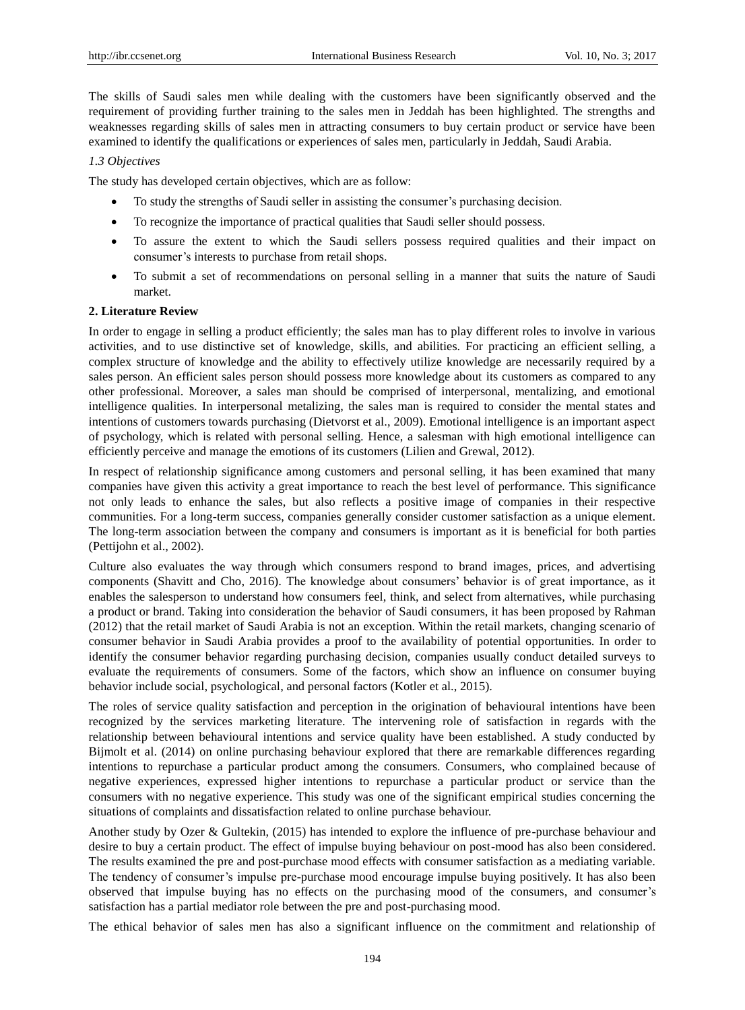The skills of Saudi sales men while dealing with the customers have been significantly observed and the requirement of providing further training to the sales men in Jeddah has been highlighted. The strengths and weaknesses regarding skills of sales men in attracting consumers to buy certain product or service have been examined to identify the qualifications or experiences of sales men, particularly in Jeddah, Saudi Arabia.

#### *1.3 Objectives*

The study has developed certain objectives, which are as follow:

- To study the strengths of Saudi seller in assisting the consumer's purchasing decision.
- To recognize the importance of practical qualities that Saudi seller should possess.
- To assure the extent to which the Saudi sellers possess required qualities and their impact on consumer's interests to purchase from retail shops.
- To submit a set of recommendations on personal selling in a manner that suits the nature of Saudi market.

#### **2. Literature Review**

In order to engage in selling a product efficiently; the sales man has to play different roles to involve in various activities, and to use distinctive set of knowledge, skills, and abilities. For practicing an efficient selling, a complex structure of knowledge and the ability to effectively utilize knowledge are necessarily required by a sales person. An efficient sales person should possess more knowledge about its customers as compared to any other professional. Moreover, a sales man should be comprised of interpersonal, mentalizing, and emotional intelligence qualities. In interpersonal metalizing, the sales man is required to consider the mental states and intentions of customers towards purchasing (Dietvorst et al., 2009). Emotional intelligence is an important aspect of psychology, which is related with personal selling. Hence, a salesman with high emotional intelligence can efficiently perceive and manage the emotions of its customers (Lilien and Grewal, 2012).

In respect of relationship significance among customers and personal selling, it has been examined that many companies have given this activity a great importance to reach the best level of performance. This significance not only leads to enhance the sales, but also reflects a positive image of companies in their respective communities. For a long-term success, companies generally consider customer satisfaction as a unique element. The long-term association between the company and consumers is important as it is beneficial for both parties (Pettijohn et al., 2002).

Culture also evaluates the way through which consumers respond to brand images, prices, and advertising components (Shavitt and Cho, 2016). The knowledge about consumers' behavior is of great importance, as it enables the salesperson to understand how consumers feel, think, and select from alternatives, while purchasing a product or brand. Taking into consideration the behavior of Saudi consumers, it has been proposed by Rahman (2012) that the retail market of Saudi Arabia is not an exception. Within the retail markets, changing scenario of consumer behavior in Saudi Arabia provides a proof to the availability of potential opportunities. In order to identify the consumer behavior regarding purchasing decision, companies usually conduct detailed surveys to evaluate the requirements of consumers. Some of the factors, which show an influence on consumer buying behavior include social, psychological, and personal factors (Kotler et al., 2015).

The roles of service quality satisfaction and perception in the origination of behavioural intentions have been recognized by the services marketing literature. The intervening role of satisfaction in regards with the relationship between behavioural intentions and service quality have been established. A study conducted by Bijmolt et al. (2014) on online purchasing behaviour explored that there are remarkable differences regarding intentions to repurchase a particular product among the consumers. Consumers, who complained because of negative experiences, expressed higher intentions to repurchase a particular product or service than the consumers with no negative experience. This study was one of the significant empirical studies concerning the situations of complaints and dissatisfaction related to online purchase behaviour.

Another study by Ozer & Gultekin, (2015) has intended to explore the influence of pre-purchase behaviour and desire to buy a certain product. The effect of impulse buying behaviour on post-mood has also been considered. The results examined the pre and post-purchase mood effects with consumer satisfaction as a mediating variable. The tendency of consumer's impulse pre-purchase mood encourage impulse buying positively. It has also been observed that impulse buying has no effects on the purchasing mood of the consumers, and consumer's satisfaction has a partial mediator role between the pre and post-purchasing mood.

The ethical behavior of sales men has also a significant influence on the commitment and relationship of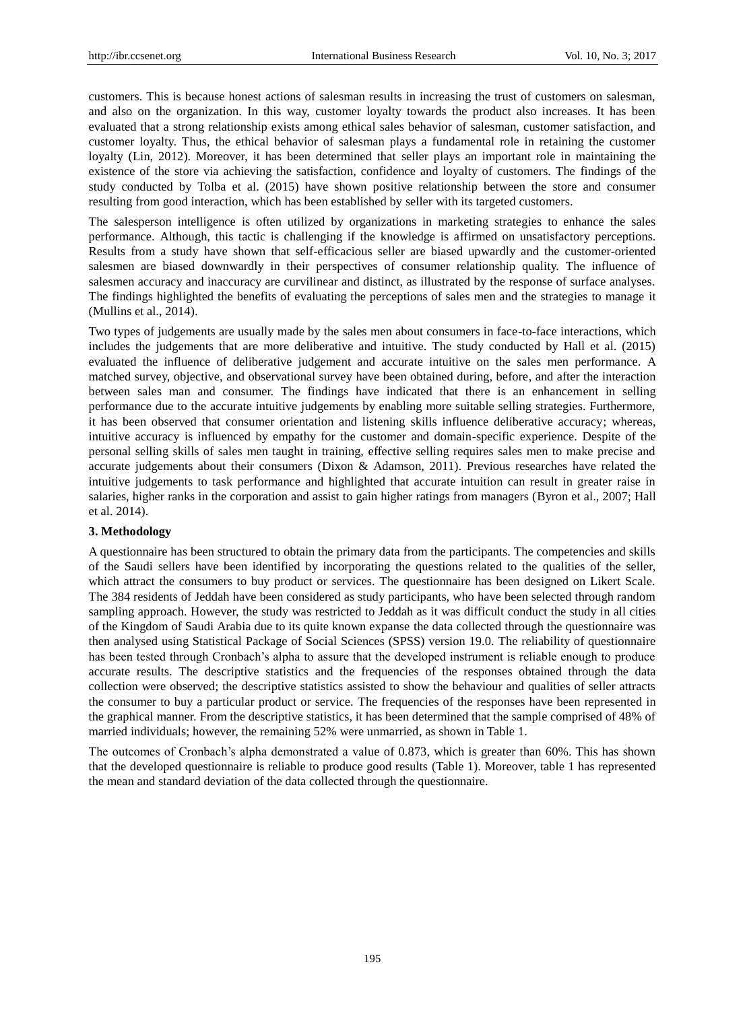customers. This is because honest actions of salesman results in increasing the trust of customers on salesman, and also on the organization. In this way, customer loyalty towards the product also increases. It has been evaluated that a strong relationship exists among ethical sales behavior of salesman, customer satisfaction, and customer loyalty. Thus, the ethical behavior of salesman plays a fundamental role in retaining the customer loyalty (Lin, 2012). Moreover, it has been determined that seller plays an important role in maintaining the existence of the store via achieving the satisfaction, confidence and loyalty of customers. The findings of the study conducted by Tolba et al. (2015) have shown positive relationship between the store and consumer resulting from good interaction, which has been established by seller with its targeted customers.

The salesperson intelligence is often utilized by organizations in marketing strategies to enhance the sales performance. Although, this tactic is challenging if the knowledge is affirmed on unsatisfactory perceptions. Results from a study have shown that self-efficacious seller are biased upwardly and the customer-oriented salesmen are biased downwardly in their perspectives of consumer relationship quality. The influence of salesmen accuracy and inaccuracy are curvilinear and distinct, as illustrated by the response of surface analyses. The findings highlighted the benefits of evaluating the perceptions of sales men and the strategies to manage it (Mullins et al., 2014).

Two types of judgements are usually made by the sales men about consumers in face-to-face interactions, which includes the judgements that are more deliberative and intuitive. The study conducted by Hall et al. (2015) evaluated the influence of deliberative judgement and accurate intuitive on the sales men performance. A matched survey, objective, and observational survey have been obtained during, before, and after the interaction between sales man and consumer. The findings have indicated that there is an enhancement in selling performance due to the accurate intuitive judgements by enabling more suitable selling strategies. Furthermore, it has been observed that consumer orientation and listening skills influence deliberative accuracy; whereas, intuitive accuracy is influenced by empathy for the customer and domain-specific experience. Despite of the personal selling skills of sales men taught in training, effective selling requires sales men to make precise and accurate judgements about their consumers (Dixon & Adamson, 2011). Previous researches have related the intuitive judgements to task performance and highlighted that accurate intuition can result in greater raise in salaries, higher ranks in the corporation and assist to gain higher ratings from managers (Byron et al., 2007; Hall et al. 2014).

#### **3. Methodology**

A questionnaire has been structured to obtain the primary data from the participants. The competencies and skills of the Saudi sellers have been identified by incorporating the questions related to the qualities of the seller, which attract the consumers to buy product or services. The questionnaire has been designed on Likert Scale. The 384 residents of Jeddah have been considered as study participants, who have been selected through random sampling approach. However, the study was restricted to Jeddah as it was difficult conduct the study in all cities of the Kingdom of Saudi Arabia due to its quite known expanse the data collected through the questionnaire was then analysed using Statistical Package of Social Sciences (SPSS) version 19.0. The reliability of questionnaire has been tested through Cronbach's alpha to assure that the developed instrument is reliable enough to produce accurate results. The descriptive statistics and the frequencies of the responses obtained through the data collection were observed; the descriptive statistics assisted to show the behaviour and qualities of seller attracts the consumer to buy a particular product or service. The frequencies of the responses have been represented in the graphical manner. From the descriptive statistics, it has been determined that the sample comprised of 48% of married individuals; however, the remaining 52% were unmarried, as shown in Table 1.

The outcomes of Cronbach's alpha demonstrated a value of 0.873, which is greater than 60%. This has shown that the developed questionnaire is reliable to produce good results (Table 1). Moreover, table 1 has represented the mean and standard deviation of the data collected through the questionnaire.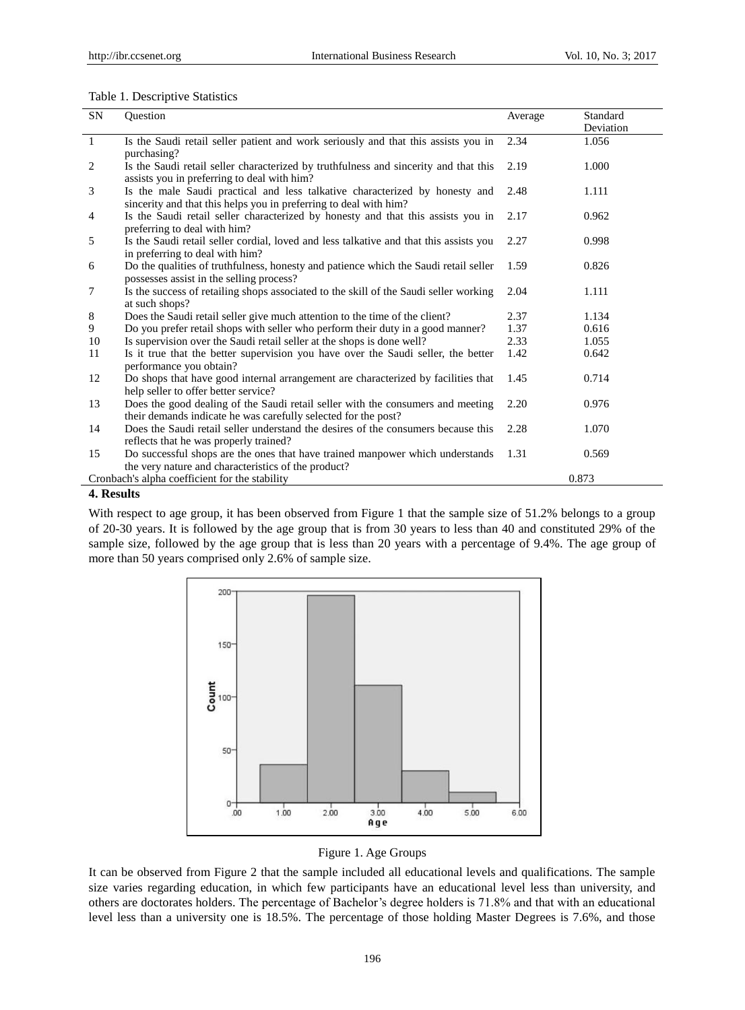### Table 1. Descriptive Statistics

| SN                                                      | Ouestion                                                                                                                                          | Average | Standard<br>Deviation |  |  |
|---------------------------------------------------------|---------------------------------------------------------------------------------------------------------------------------------------------------|---------|-----------------------|--|--|
| -1                                                      | Is the Saudi retail seller patient and work seriously and that this assists you in<br>purchasing?                                                 | 2.34    | 1.056                 |  |  |
| 2                                                       | Is the Saudi retail seller characterized by truthfulness and sincerity and that this<br>assists you in preferring to deal with him?               | 2.19    | 1.000                 |  |  |
| 3                                                       | Is the male Saudi practical and less talkative characterized by honesty and<br>sincerity and that this helps you in preferring to deal with him?  | 2.48    | 1.111                 |  |  |
| 4                                                       | Is the Saudi retail seller characterized by honesty and that this assists you in<br>preferring to deal with him?                                  | 2.17    | 0.962                 |  |  |
| 5                                                       | Is the Saudi retail seller cordial, loved and less talkative and that this assists you<br>in preferring to deal with him?                         | 2.27    | 0.998                 |  |  |
| 6                                                       | Do the qualities of truthfulness, honesty and patience which the Saudi retail seller<br>possesses assist in the selling process?                  | 1.59    | 0.826                 |  |  |
| 7                                                       | Is the success of retailing shops associated to the skill of the Saudi seller working<br>at such shops?                                           | 2.04    | 1.111                 |  |  |
| 8                                                       | Does the Saudi retail seller give much attention to the time of the client?                                                                       | 2.37    | 1.134                 |  |  |
| 9                                                       | Do you prefer retail shops with seller who perform their duty in a good manner?                                                                   | 1.37    | 0.616                 |  |  |
| 10                                                      | Is supervision over the Saudi retail seller at the shops is done well?                                                                            | 2.33    | 1.055                 |  |  |
| 11                                                      | Is it true that the better supervision you have over the Saudi seller, the better<br>performance you obtain?                                      | 1.42    | 0.642                 |  |  |
| 12                                                      | Do shops that have good internal arrangement are characterized by facilities that<br>help seller to offer better service?                         | 1.45    | 0.714                 |  |  |
| 13                                                      | Does the good dealing of the Saudi retail seller with the consumers and meeting<br>their demands indicate he was carefully selected for the post? | 2.20    | 0.976                 |  |  |
| 14                                                      | Does the Saudi retail seller understand the desires of the consumers because this<br>reflects that he was properly trained?                       | 2.28    | 1.070                 |  |  |
| 15                                                      | Do successful shops are the ones that have trained manpower which understands<br>the very nature and characteristics of the product?              | 1.31    | 0.569                 |  |  |
| 0.873<br>Cronbach's alpha coefficient for the stability |                                                                                                                                                   |         |                       |  |  |

# **4. Results**

With respect to age group, it has been observed from Figure 1 that the sample size of 51.2% belongs to a group of 20-30 years. It is followed by the age group that is from 30 years to less than 40 and constituted 29% of the sample size, followed by the age group that is less than 20 years with a percentage of 9.4%. The age group of more than 50 years comprised only 2.6% of sample size.



Figure 1. Age Groups

It can be observed from Figure 2 that the sample included all educational levels and qualifications. The sample size varies regarding education, in which few participants have an educational level less than university, and others are doctorates holders. The percentage of Bachelor's degree holders is 71.8% and that with an educational level less than a university one is 18.5%. The percentage of those holding Master Degrees is 7.6%, and those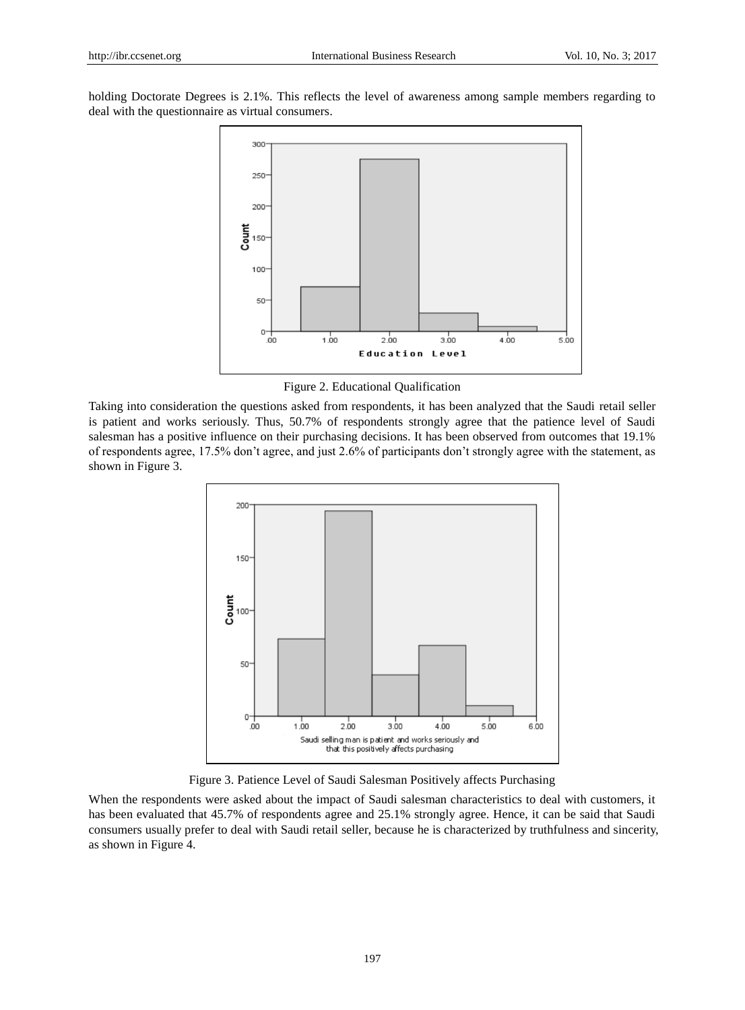holding Doctorate Degrees is 2.1%. This reflects the level of awareness among sample members regarding to deal with the questionnaire as virtual consumers.



Figure 2. Educational Qualification

Taking into consideration the questions asked from respondents, it has been analyzed that the Saudi retail seller is patient and works seriously. Thus, 50.7% of respondents strongly agree that the patience level of Saudi salesman has a positive influence on their purchasing decisions. It has been observed from outcomes that 19.1% of respondents agree, 17.5% don't agree, and just 2.6% of participants don't strongly agree with the statement, as shown in Figure 3.



Figure 3. Patience Level of Saudi Salesman Positively affects Purchasing

When the respondents were asked about the impact of Saudi salesman characteristics to deal with customers, it has been evaluated that 45.7% of respondents agree and 25.1% strongly agree. Hence, it can be said that Saudi consumers usually prefer to deal with Saudi retail seller, because he is characterized by truthfulness and sincerity, as shown in Figure 4.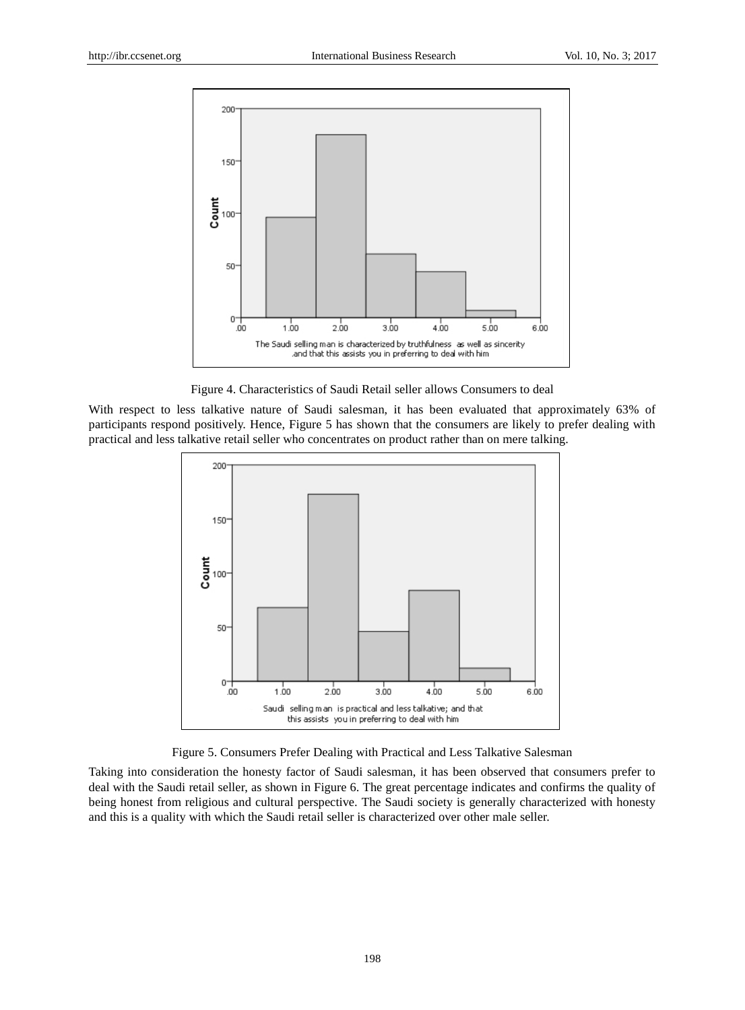

Figure 4. Characteristics of Saudi Retail seller allows Consumers to deal

With respect to less talkative nature of Saudi salesman, it has been evaluated that approximately 63% of participants respond positively. Hence, Figure 5 has shown that the consumers are likely to prefer dealing with practical and less talkative retail seller who concentrates on product rather than on mere talking.



Figure 5. Consumers Prefer Dealing with Practical and Less Talkative Salesman

Taking into consideration the honesty factor of Saudi salesman, it has been observed that consumers prefer to deal with the Saudi retail seller, as shown in Figure 6. The great percentage indicates and confirms the quality of being honest from religious and cultural perspective. The Saudi society is generally characterized with honesty and this is a quality with which the Saudi retail seller is characterized over other male seller.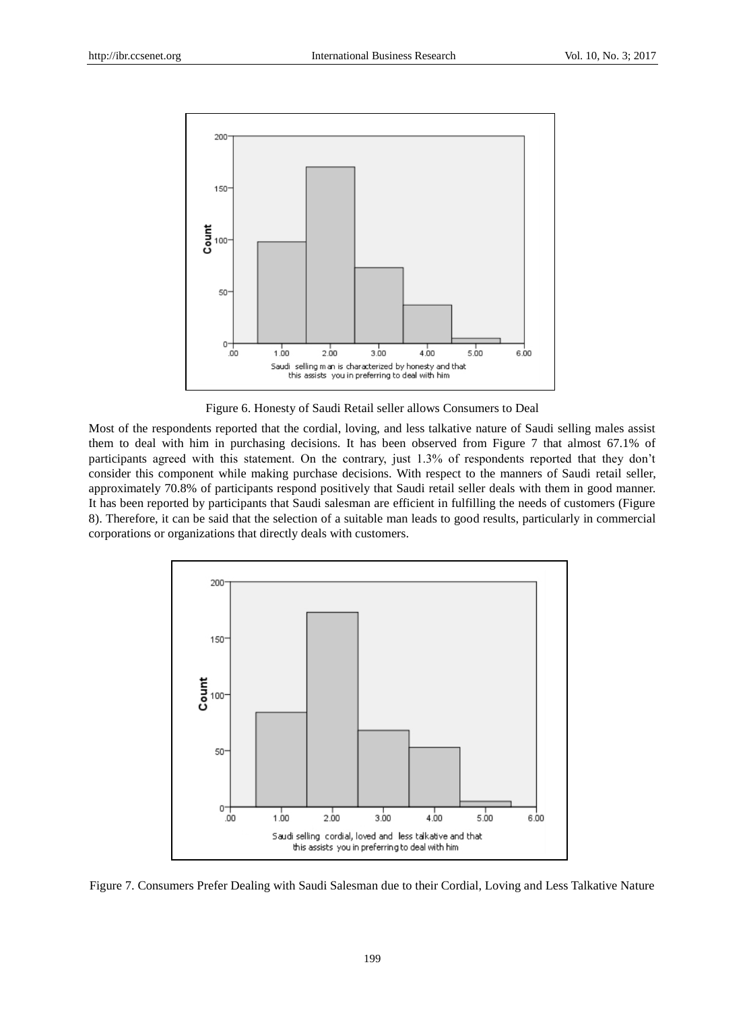

Figure 6. Honesty of Saudi Retail seller allows Consumers to Deal

Most of the respondents reported that the cordial, loving, and less talkative nature of Saudi selling males assist them to deal with him in purchasing decisions. It has been observed from Figure 7 that almost 67.1% of participants agreed with this statement. On the contrary, just 1.3% of respondents reported that they don't consider this component while making purchase decisions. With respect to the manners of Saudi retail seller, approximately 70.8% of participants respond positively that Saudi retail seller deals with them in good manner. It has been reported by participants that Saudi salesman are efficient in fulfilling the needs of customers (Figure 8). Therefore, it can be said that the selection of a suitable man leads to good results, particularly in commercial corporations or organizations that directly deals with customers.



Figure 7. Consumers Prefer Dealing with Saudi Salesman due to their Cordial, Loving and Less Talkative Nature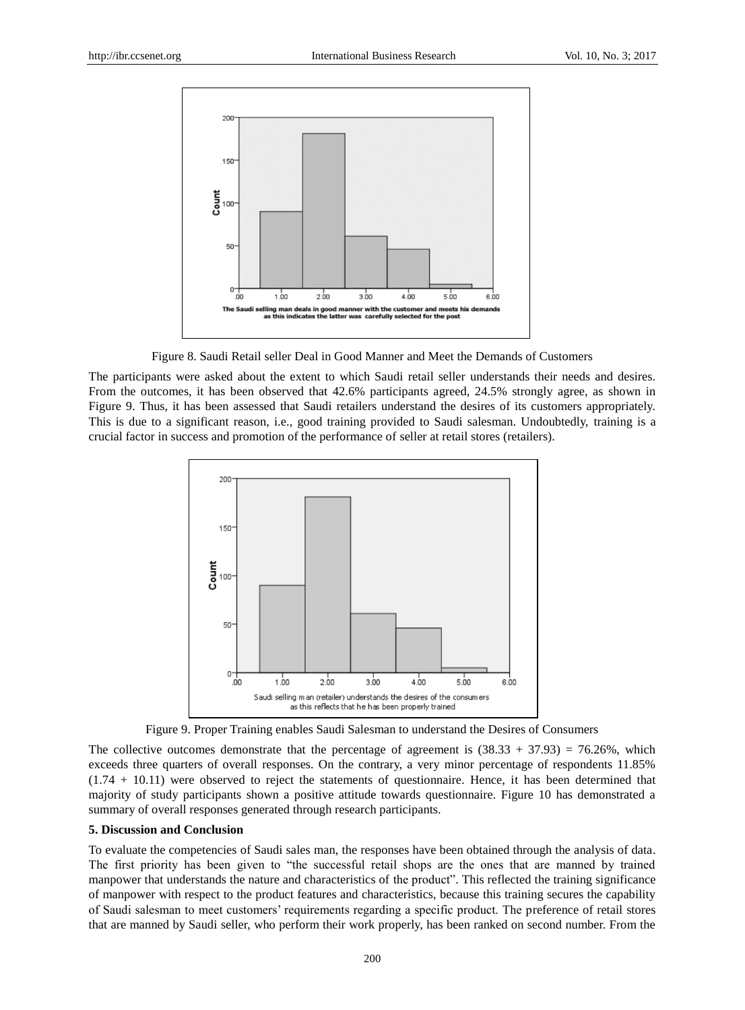

Figure 8. Saudi Retail seller Deal in Good Manner and Meet the Demands of Customers

The participants were asked about the extent to which Saudi retail seller understands their needs and desires. From the outcomes, it has been observed that 42.6% participants agreed, 24.5% strongly agree, as shown in Figure 9. Thus, it has been assessed that Saudi retailers understand the desires of its customers appropriately. This is due to a significant reason, i.e., good training provided to Saudi salesman. Undoubtedly, training is a crucial factor in success and promotion of the performance of seller at retail stores (retailers).



Figure 9. Proper Training enables Saudi Salesman to understand the Desires of Consumers

The collective outcomes demonstrate that the percentage of agreement is  $(38.33 + 37.93) = 76.26\%$ , which exceeds three quarters of overall responses. On the contrary, a very minor percentage of respondents 11.85% (1.74 + 10.11) were observed to reject the statements of questionnaire. Hence, it has been determined that majority of study participants shown a positive attitude towards questionnaire. Figure 10 has demonstrated a summary of overall responses generated through research participants.

#### **5. Discussion and Conclusion**

To evaluate the competencies of Saudi sales man, the responses have been obtained through the analysis of data. The first priority has been given to "the successful retail shops are the ones that are manned by trained manpower that understands the nature and characteristics of the product". This reflected the training significance of manpower with respect to the product features and characteristics, because this training secures the capability of Saudi salesman to meet customers' requirements regarding a specific product. The preference of retail stores that are manned by Saudi seller, who perform their work properly, has been ranked on second number. From the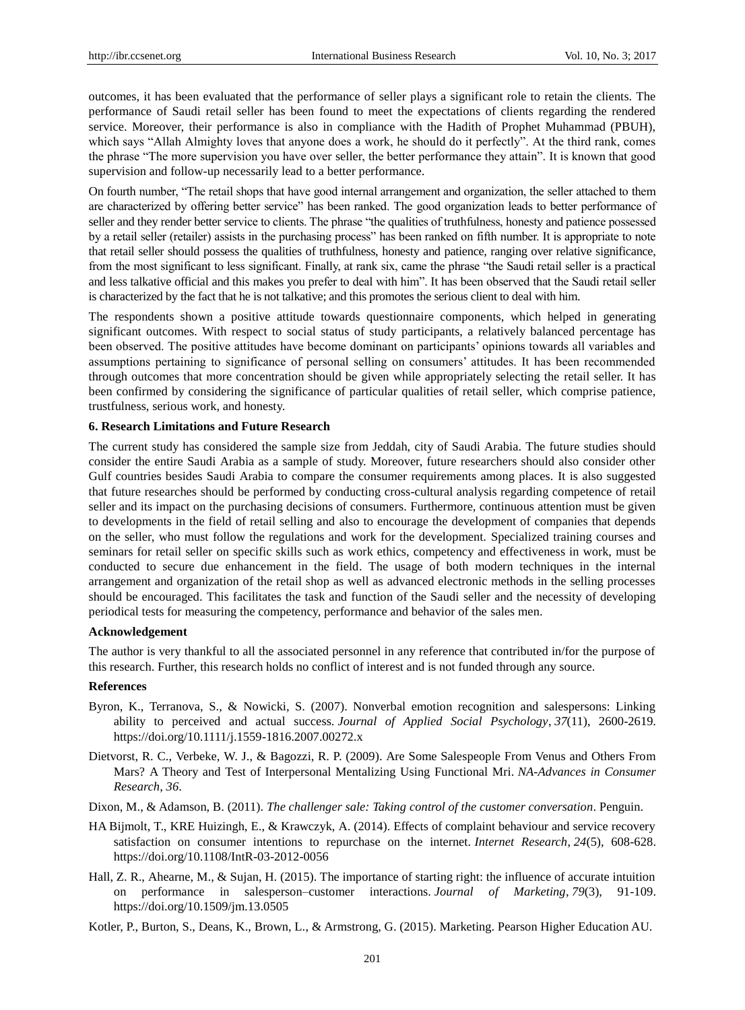outcomes, it has been evaluated that the performance of seller plays a significant role to retain the clients. The performance of Saudi retail seller has been found to meet the expectations of clients regarding the rendered service. Moreover, their performance is also in compliance with the Hadith of Prophet Muhammad (PBUH), which says "Allah Almighty loves that anyone does a work, he should do it perfectly". At the third rank, comes the phrase "The more supervision you have over seller, the better performance they attain". It is known that good supervision and follow-up necessarily lead to a better performance.

On fourth number, "The retail shops that have good internal arrangement and organization, the seller attached to them are characterized by offering better service" has been ranked. The good organization leads to better performance of seller and they render better service to clients. The phrase "the qualities of truthfulness, honesty and patience possessed by a retail seller (retailer) assists in the purchasing process" has been ranked on fifth number. It is appropriate to note that retail seller should possess the qualities of truthfulness, honesty and patience, ranging over relative significance, from the most significant to less significant. Finally, at rank six, came the phrase "the Saudi retail seller is a practical and less talkative official and this makes you prefer to deal with him". It has been observed that the Saudi retail seller is characterized by the fact that he is not talkative; and this promotes the serious client to deal with him.

The respondents shown a positive attitude towards questionnaire components, which helped in generating significant outcomes. With respect to social status of study participants, a relatively balanced percentage has been observed. The positive attitudes have become dominant on participants' opinions towards all variables and assumptions pertaining to significance of personal selling on consumers' attitudes. It has been recommended through outcomes that more concentration should be given while appropriately selecting the retail seller. It has been confirmed by considering the significance of particular qualities of retail seller, which comprise patience, trustfulness, serious work, and honesty.

#### **6. Research Limitations and Future Research**

The current study has considered the sample size from Jeddah, city of Saudi Arabia. The future studies should consider the entire Saudi Arabia as a sample of study. Moreover, future researchers should also consider other Gulf countries besides Saudi Arabia to compare the consumer requirements among places. It is also suggested that future researches should be performed by conducting cross-cultural analysis regarding competence of retail seller and its impact on the purchasing decisions of consumers. Furthermore, continuous attention must be given to developments in the field of retail selling and also to encourage the development of companies that depends on the seller, who must follow the regulations and work for the development. Specialized training courses and seminars for retail seller on specific skills such as work ethics, competency and effectiveness in work, must be conducted to secure due enhancement in the field. The usage of both modern techniques in the internal arrangement and organization of the retail shop as well as advanced electronic methods in the selling processes should be encouraged. This facilitates the task and function of the Saudi seller and the necessity of developing periodical tests for measuring the competency, performance and behavior of the sales men.

## **Acknowledgement**

The author is very thankful to all the associated personnel in any reference that contributed in/for the purpose of this research. Further, this research holds no conflict of interest and is not funded through any source.

#### **References**

- Byron, K., Terranova, S., & Nowicki, S. (2007). Nonverbal emotion recognition and salespersons: Linking ability to perceived and actual success. *Journal of Applied Social Psychology*, *37*(11), 2600-2619. https://doi.org/10.1111/j.1559-1816.2007.00272.x
- Dietvorst, R. C., Verbeke, W. J., & Bagozzi, R. P. (2009). Are Some Salespeople From Venus and Others From Mars? A Theory and Test of Interpersonal Mentalizing Using Functional Mri. *NA-Advances in Consumer Research, 36*.
- Dixon, M., & Adamson, B. (2011). *The challenger sale: Taking control of the customer conversation*. Penguin.
- HA Bijmolt, T., KRE Huizingh, E., & Krawczyk, A. (2014). Effects of complaint behaviour and service recovery satisfaction on consumer intentions to repurchase on the internet. *Internet Research*, *24*(5), 608-628. https://doi.org/10.1108/IntR-03-2012-0056
- Hall, Z. R., Ahearne, M., & Sujan, H. (2015). The importance of starting right: the influence of accurate intuition on performance in salesperson–customer interactions. *Journal of Marketing*, *79*(3), 91-109. https://doi.org/10.1509/jm.13.0505
- Kotler, P., Burton, S., Deans, K., Brown, L., & Armstrong, G. (2015). Marketing. Pearson Higher Education AU.